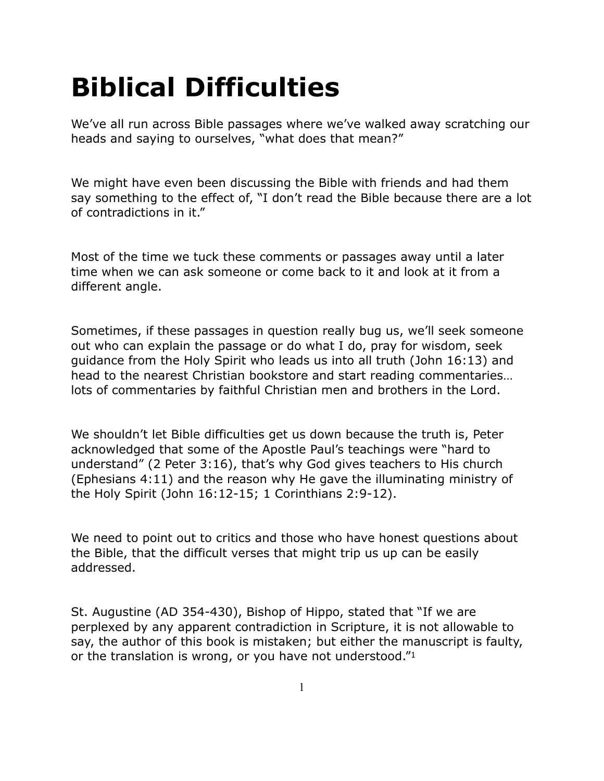# **Biblical Difficulties**

We've all run across Bible passages where we've walked away scratching our heads and saying to ourselves, "what does that mean?"

We might have even been discussing the Bible with friends and had them say something to the effect of, "I don't read the Bible because there are a lot of contradictions in it."

Most of the time we tuck these comments or passages away until a later time when we can ask someone or come back to it and look at it from a different angle.

Sometimes, if these passages in question really bug us, we'll seek someone out who can explain the passage or do what I do, pray for wisdom, seek guidance from the Holy Spirit who leads us into all truth (John 16:13) and head to the nearest Christian bookstore and start reading commentaries… lots of commentaries by faithful Christian men and brothers in the Lord.

We shouldn't let Bible difficulties get us down because the truth is, Peter acknowledged that some of the Apostle Paul's teachings were "hard to understand" (2 Peter 3:16), that's why God gives teachers to His church (Ephesians 4:11) and the reason why He gave the illuminating ministry of the Holy Spirit (John 16:12-15; 1 Corinthians 2:9-12).

We need to point out to critics and those who have honest questions about the Bible, that the difficult verses that might trip us up can be easily addressed.

St. Augustine (AD 354-430), Bishop of Hippo, stated that "If we are perplexed by any apparent contradiction in Scripture, it is not allowable to say, the author of this book is mistaken; but either the manuscript is faulty, or the translation is wrong, or you have not understood."1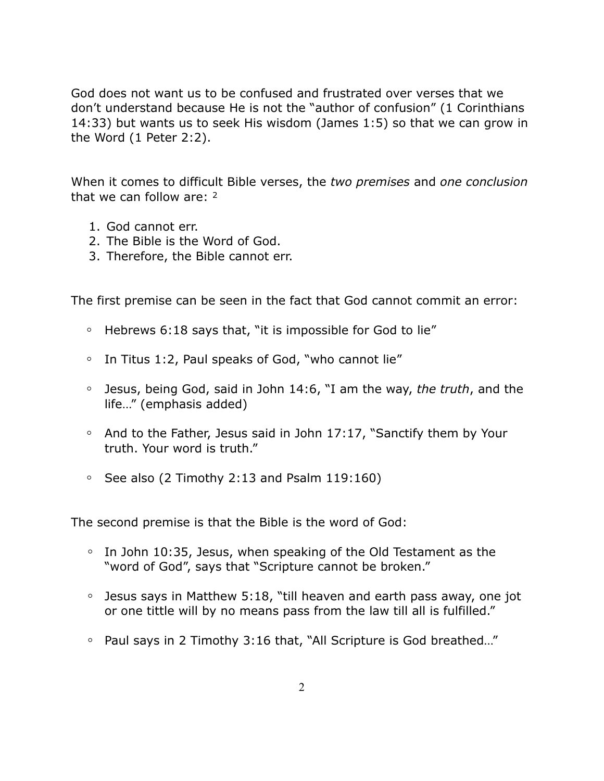God does not want us to be confused and frustrated over verses that we don't understand because He is not the "author of confusion" (1 Corinthians 14:33) but wants us to seek His wisdom (James 1:5) so that we can grow in the Word (1 Peter 2:2).

When it comes to difficult Bible verses, the *two premises* and *one conclusion* that we can follow are: 2

- 1. God cannot err.
- 2. The Bible is the Word of God.
- 3. Therefore, the Bible cannot err.

The first premise can be seen in the fact that God cannot commit an error:

- **◦** Hebrews 6:18 says that, "it is impossible for God to lie"
- **◦** In Titus 1:2, Paul speaks of God, "who cannot lie"
- **◦** Jesus, being God, said in John 14:6, "I am the way, *the truth*, and the life…" (emphasis added)
- **◦** And to the Father, Jesus said in John 17:17, "Sanctify them by Your truth. Your word is truth."
- **◦** See also (2 Timothy 2:13 and Psalm 119:160)

The second premise is that the Bible is the word of God:

- **◦** In John 10:35, Jesus, when speaking of the Old Testament as the "word of God", says that "Scripture cannot be broken."
- **◦** Jesus says in Matthew 5:18, "till heaven and earth pass away, one jot or one tittle will by no means pass from the law till all is fulfilled."
- **◦** Paul says in 2 Timothy 3:16 that, "All Scripture is God breathed…"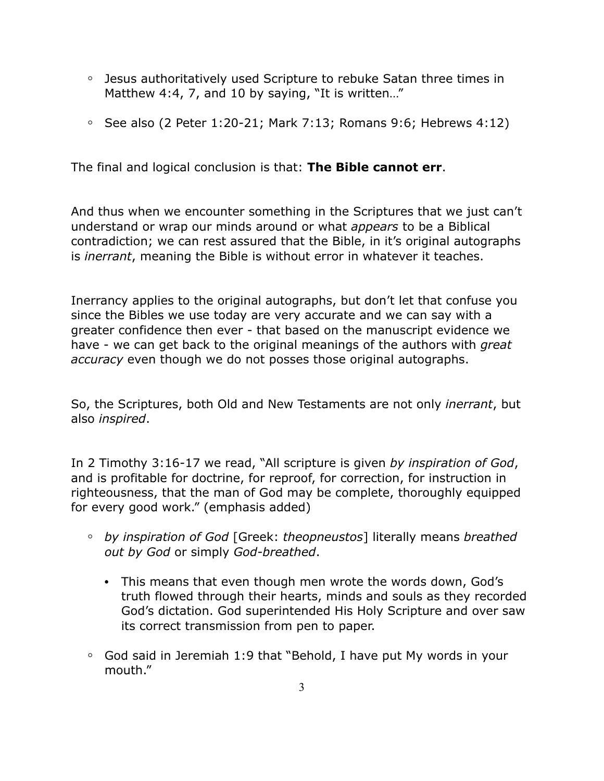- **◦** Jesus authoritatively used Scripture to rebuke Satan three times in Matthew 4:4, 7, and 10 by saying, "It is written..."
- **◦** See also (2 Peter 1:20-21; Mark 7:13; Romans 9:6; Hebrews 4:12)

The final and logical conclusion is that: **The Bible cannot err**.

And thus when we encounter something in the Scriptures that we just can't understand or wrap our minds around or what *appears* to be a Biblical contradiction; we can rest assured that the Bible, in it's original autographs is *inerrant*, meaning the Bible is without error in whatever it teaches.

Inerrancy applies to the original autographs, but don't let that confuse you since the Bibles we use today are very accurate and we can say with a greater confidence then ever - that based on the manuscript evidence we have - we can get back to the original meanings of the authors with *great accuracy* even though we do not posses those original autographs.

So, the Scriptures, both Old and New Testaments are not only *inerrant*, but also *inspired*.

In 2 Timothy 3:16-17 we read, "All scripture is given *by inspiration of God*, and is profitable for doctrine, for reproof, for correction, for instruction in righteousness, that the man of God may be complete, thoroughly equipped for every good work." (emphasis added)

- **◦** *by inspiration of God* [Greek: *theopneustos*] literally means *breathed out by God* or simply *God-breathed*.
	- This means that even though men wrote the words down, God's truth flowed through their hearts, minds and souls as they recorded God's dictation. God superintended His Holy Scripture and over saw its correct transmission from pen to paper.
- **◦** God said in Jeremiah 1:9 that "Behold, I have put My words in your mouth."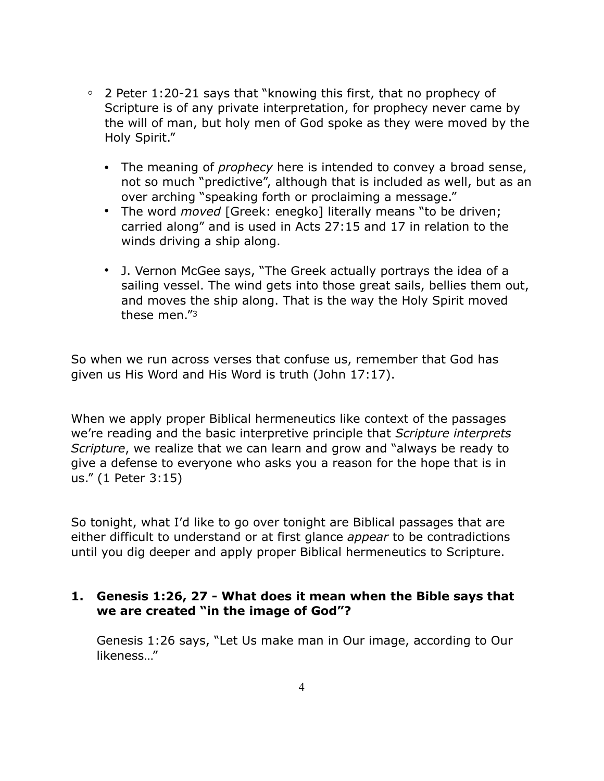- **◦** 2 Peter 1:20-21 says that "knowing this first, that no prophecy of Scripture is of any private interpretation, for prophecy never came by the will of man, but holy men of God spoke as they were moved by the Holy Spirit."
	- The meaning of *prophecy* here is intended to convey a broad sense, not so much "predictive", although that is included as well, but as an over arching "speaking forth or proclaiming a message."
	- The word *moved* [Greek: enegko] literally means "to be driven; carried along" and is used in Acts 27:15 and 17 in relation to the winds driving a ship along.
	- J. Vernon McGee says, "The Greek actually portrays the idea of a sailing vessel. The wind gets into those great sails, bellies them out, and moves the ship along. That is the way the Holy Spirit moved these men."3

So when we run across verses that confuse us, remember that God has given us His Word and His Word is truth (John 17:17).

When we apply proper Biblical hermeneutics like context of the passages we're reading and the basic interpretive principle that *Scripture interprets Scripture*, we realize that we can learn and grow and "always be ready to give a defense to everyone who asks you a reason for the hope that is in us." (1 Peter 3:15)

So tonight, what I'd like to go over tonight are Biblical passages that are either difficult to understand or at first glance *appear* to be contradictions until you dig deeper and apply proper Biblical hermeneutics to Scripture.

# **1. Genesis 1:26, 27 - What does it mean when the Bible says that we are created "in the image of God"?**

Genesis 1:26 says, "Let Us make man in Our image, according to Our likeness…"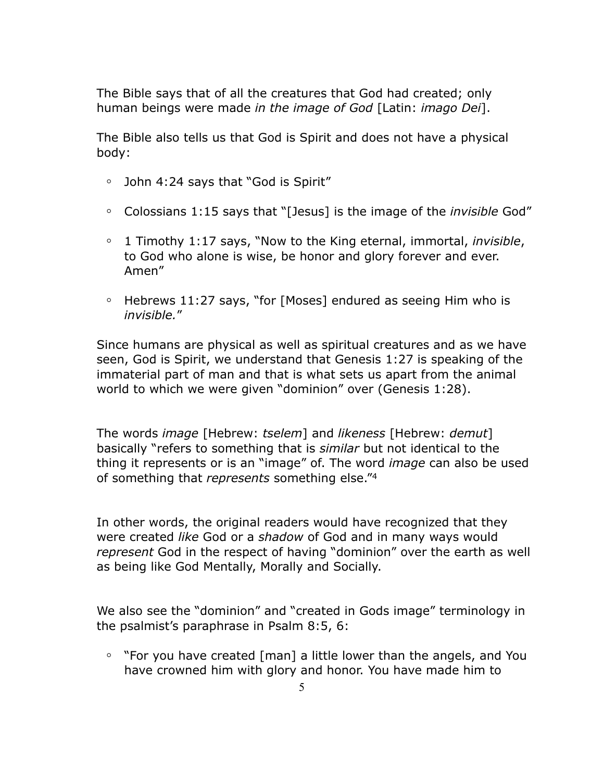The Bible says that of all the creatures that God had created; only human beings were made *in the image of God* [Latin: *imago Dei*].

The Bible also tells us that God is Spirit and does not have a physical body:

- **◦** John 4:24 says that "God is Spirit"
- **◦** Colossians 1:15 says that "[Jesus] is the image of the *invisible* God"
- **◦** 1 Timothy 1:17 says, "Now to the King eternal, immortal, *invisible*, to God who alone is wise, be honor and glory forever and ever. Amen"
- **◦** Hebrews 11:27 says, "for [Moses] endured as seeing Him who is *invisible.*"

Since humans are physical as well as spiritual creatures and as we have seen, God is Spirit, we understand that Genesis 1:27 is speaking of the immaterial part of man and that is what sets us apart from the animal world to which we were given "dominion" over (Genesis 1:28).

The words *image* [Hebrew: *tselem*] and *likeness* [Hebrew: *demut*] basically "refers to something that is *similar* but not identical to the thing it represents or is an "image" of. The word *image* can also be used of something that *represents* something else."4

In other words, the original readers would have recognized that they were created *like* God or a *shadow* of God and in many ways would *represent* God in the respect of having "dominion" over the earth as well as being like God Mentally, Morally and Socially.

We also see the "dominion" and "created in Gods image" terminology in the psalmist's paraphrase in Psalm 8:5, 6:

**◦** "For you have created [man] a little lower than the angels, and You have crowned him with glory and honor. You have made him to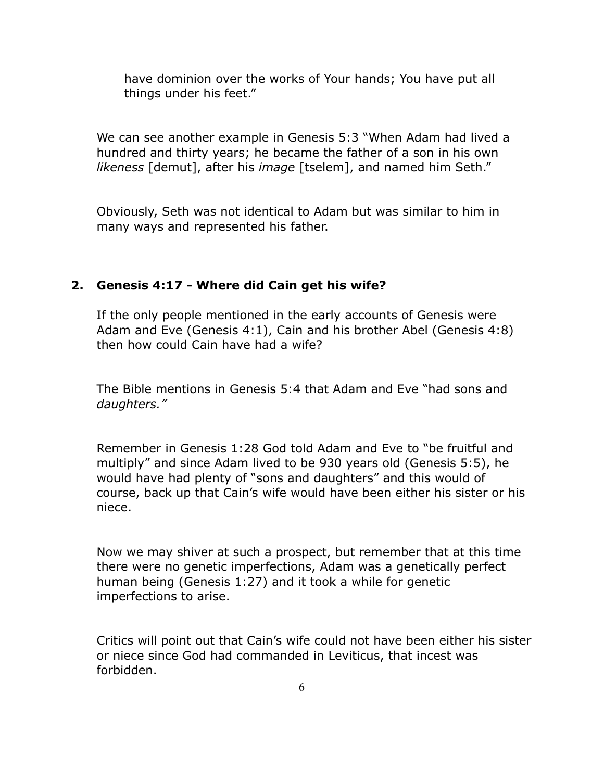have dominion over the works of Your hands; You have put all things under his feet."

We can see another example in Genesis 5:3 "When Adam had lived a hundred and thirty years; he became the father of a son in his own *likeness* [demut], after his *image* [tselem], and named him Seth."

Obviously, Seth was not identical to Adam but was similar to him in many ways and represented his father.

# **2. Genesis 4:17 - Where did Cain get his wife?**

If the only people mentioned in the early accounts of Genesis were Adam and Eve (Genesis 4:1), Cain and his brother Abel (Genesis 4:8) then how could Cain have had a wife?

The Bible mentions in Genesis 5:4 that Adam and Eve "had sons and *daughters."* 

Remember in Genesis 1:28 God told Adam and Eve to "be fruitful and multiply" and since Adam lived to be 930 years old (Genesis 5:5), he would have had plenty of "sons and daughters" and this would of course, back up that Cain's wife would have been either his sister or his niece.

Now we may shiver at such a prospect, but remember that at this time there were no genetic imperfections, Adam was a genetically perfect human being (Genesis 1:27) and it took a while for genetic imperfections to arise.

Critics will point out that Cain's wife could not have been either his sister or niece since God had commanded in Leviticus, that incest was forbidden.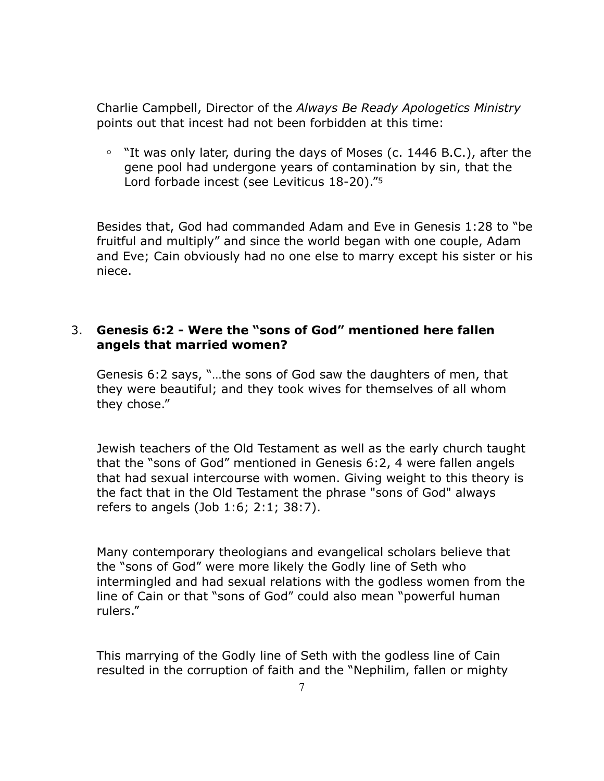Charlie Campbell, Director of the *Always Be Ready Apologetics Ministry* points out that incest had not been forbidden at this time:

**◦** "It was only later, during the days of Moses (c. 1446 B.C.), after the gene pool had undergone years of contamination by sin, that the Lord forbade incest (see Leviticus 18-20)."5

Besides that, God had commanded Adam and Eve in Genesis 1:28 to "be fruitful and multiply" and since the world began with one couple, Adam and Eve; Cain obviously had no one else to marry except his sister or his niece.

# 3. **Genesis 6:2 - Were the "sons of God" mentioned here fallen angels that married women?**

Genesis 6:2 says, "…the sons of God saw the daughters of men, that they were beautiful; and they took wives for themselves of all whom they chose."

Jewish teachers of the Old Testament as well as the early church taught that the "sons of God" mentioned in Genesis 6:2, 4 were fallen angels that had sexual intercourse with women. Giving weight to this theory is the fact that in the Old Testament the phrase "sons of God" always refers to angels (Job 1:6; 2:1; 38:7).

Many contemporary theologians and evangelical scholars believe that the "sons of God" were more likely the Godly line of Seth who intermingled and had sexual relations with the godless women from the line of Cain or that "sons of God" could also mean "powerful human rulers."

This marrying of the Godly line of Seth with the godless line of Cain resulted in the corruption of faith and the "Nephilim, fallen or mighty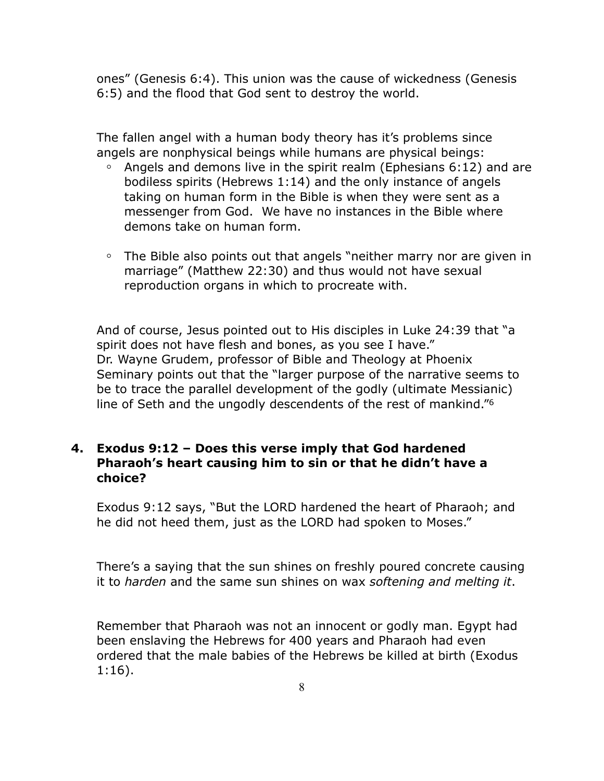ones" (Genesis 6:4). This union was the cause of wickedness (Genesis 6:5) and the flood that God sent to destroy the world.

The fallen angel with a human body theory has it's problems since angels are nonphysical beings while humans are physical beings:

- **◦** Angels and demons live in the spirit realm (Ephesians 6:12) and are bodiless spirits (Hebrews 1:14) and the only instance of angels taking on human form in the Bible is when they were sent as a messenger from God. We have no instances in the Bible where demons take on human form.
- **◦** The Bible also points out that angels "neither marry nor are given in marriage" (Matthew 22:30) and thus would not have sexual reproduction organs in which to procreate with.

And of course, Jesus pointed out to His disciples in Luke 24:39 that "a spirit does not have flesh and bones, as you see I have." Dr. Wayne Grudem, professor of Bible and Theology at Phoenix Seminary points out that the "larger purpose of the narrative seems to be to trace the parallel development of the godly (ultimate Messianic) line of Seth and the ungodly descendents of the rest of mankind."6

# **4. Exodus 9:12 – Does this verse imply that God hardened Pharaoh's heart causing him to sin or that he didn't have a choice?**

Exodus 9:12 says, "But the LORD hardened the heart of Pharaoh; and he did not heed them, just as the LORD had spoken to Moses."

There's a saying that the sun shines on freshly poured concrete causing it to *harden* and the same sun shines on wax *softening and melting it*.

Remember that Pharaoh was not an innocent or godly man. Egypt had been enslaving the Hebrews for 400 years and Pharaoh had even ordered that the male babies of the Hebrews be killed at birth (Exodus 1:16).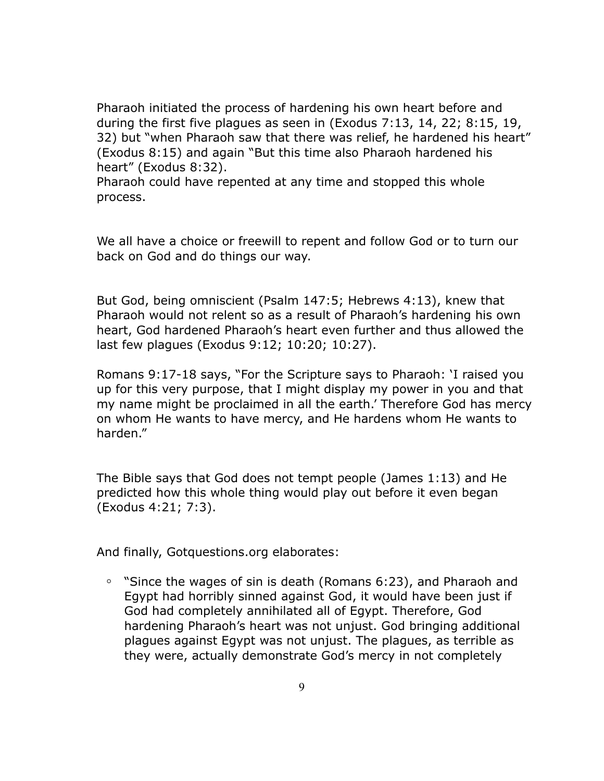Pharaoh initiated the process of hardening his own heart before and during the first five plagues as seen in (Exodus 7:13, 14, 22; 8:15, 19, 32) but "when Pharaoh saw that there was relief, he hardened his heart" (Exodus 8:15) and again "But this time also Pharaoh hardened his heart" (Exodus 8:32).

Pharaoh could have repented at any time and stopped this whole process.

We all have a choice or freewill to repent and follow God or to turn our back on God and do things our way.

But God, being omniscient (Psalm 147:5; Hebrews 4:13), knew that Pharaoh would not relent so as a result of Pharaoh's hardening his own heart, God hardened Pharaoh's heart even further and thus allowed the last few plagues (Exodus 9:12; 10:20; 10:27).

Romans 9:17-18 says, "For the Scripture says to Pharaoh: 'I raised you up for this very purpose, that I might display my power in you and that my name might be proclaimed in all the earth.' Therefore God has mercy on whom He wants to have mercy, and He hardens whom He wants to harden."

The Bible says that God does not tempt people (James 1:13) and He predicted how this whole thing would play out before it even began (Exodus 4:21; 7:3).

And finally, Gotquestions.org elaborates:

**◦** "Since the wages of sin is death (Romans 6:23), and Pharaoh and Egypt had horribly sinned against God, it would have been just if God had completely annihilated all of Egypt. Therefore, God hardening Pharaoh's heart was not unjust. God bringing additional plagues against Egypt was not unjust. The plagues, as terrible as they were, actually demonstrate God's mercy in not completely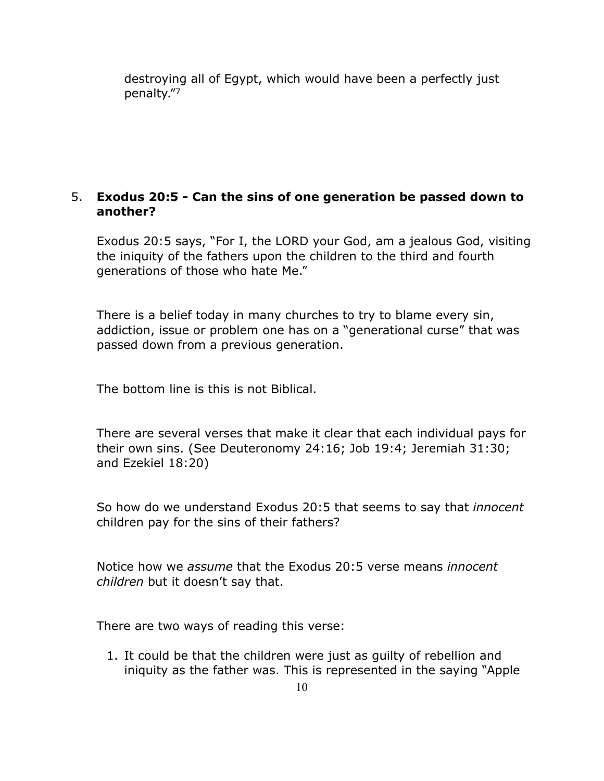destroying all of Egypt, which would have been a perfectly just penalty."7

# 5. **Exodus 20:5 - Can the sins of one generation be passed down to another?**

Exodus 20:5 says, "For I, the LORD your God, am a jealous God, visiting the iniquity of the fathers upon the children to the third and fourth generations of those who hate Me."

There is a belief today in many churches to try to blame every sin, addiction, issue or problem one has on a "generational curse" that was passed down from a previous generation.

The bottom line is this is not Biblical.

There are several verses that make it clear that each individual pays for their own sins. (See Deuteronomy 24:16; Job 19:4; Jeremiah 31:30; and Ezekiel 18:20)

So how do we understand Exodus 20:5 that seems to say that *innocent*  children pay for the sins of their fathers?

Notice how we *assume* that the Exodus 20:5 verse means *innocent children* but it doesn't say that.

There are two ways of reading this verse:

1. It could be that the children were just as guilty of rebellion and iniquity as the father was. This is represented in the saying "Apple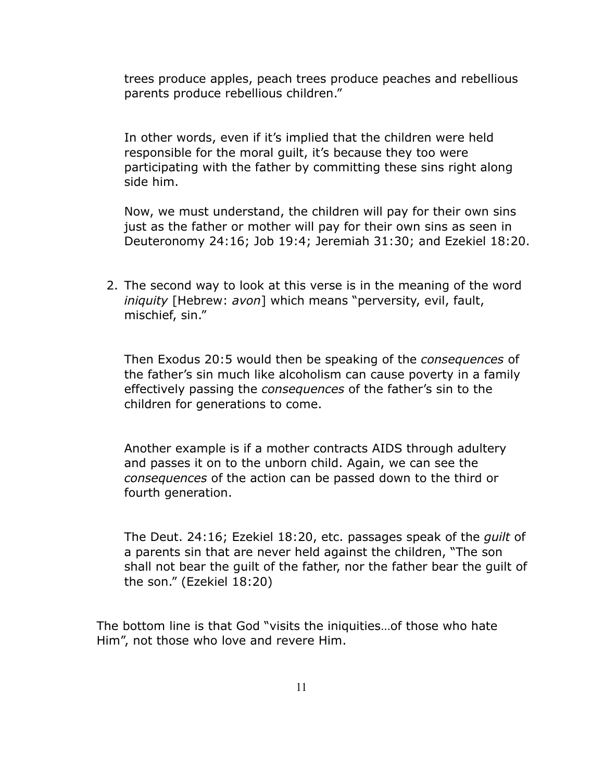trees produce apples, peach trees produce peaches and rebellious parents produce rebellious children."

In other words, even if it's implied that the children were held responsible for the moral guilt, it's because they too were participating with the father by committing these sins right along side him.

Now, we must understand, the children will pay for their own sins just as the father or mother will pay for their own sins as seen in Deuteronomy 24:16; Job 19:4; Jeremiah 31:30; and Ezekiel 18:20.

2. The second way to look at this verse is in the meaning of the word *iniquity* [Hebrew: *avon*] which means "perversity, evil, fault, mischief, sin."

Then Exodus 20:5 would then be speaking of the *consequences* of the father's sin much like alcoholism can cause poverty in a family effectively passing the *consequences* of the father's sin to the children for generations to come.

Another example is if a mother contracts AIDS through adultery and passes it on to the unborn child. Again, we can see the *consequences* of the action can be passed down to the third or fourth generation.

The Deut. 24:16; Ezekiel 18:20, etc. passages speak of the *guilt* of a parents sin that are never held against the children, "The son shall not bear the guilt of the father, nor the father bear the guilt of the son." (Ezekiel 18:20)

The bottom line is that God "visits the iniquities…of those who hate Him", not those who love and revere Him.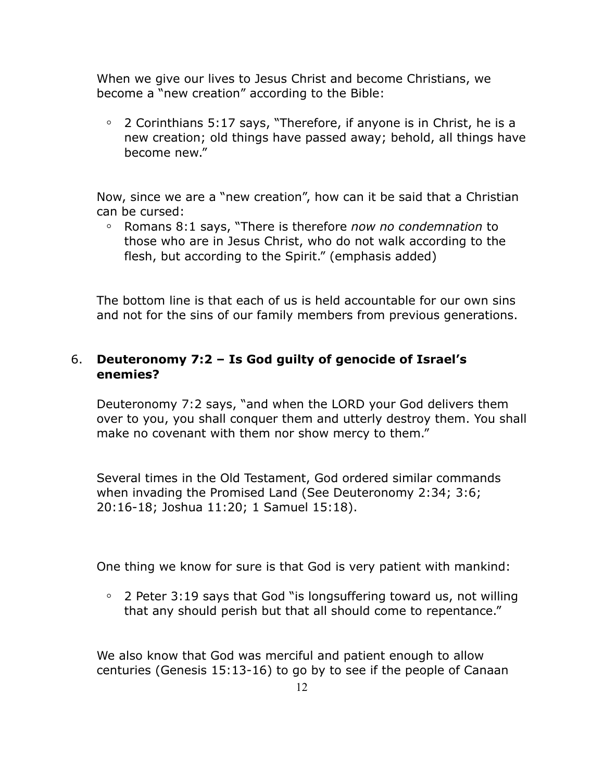When we give our lives to Jesus Christ and become Christians, we become a "new creation" according to the Bible:

**◦** 2 Corinthians 5:17 says, "Therefore, if anyone is in Christ, he is a new creation; old things have passed away; behold, all things have become new."

Now, since we are a "new creation", how can it be said that a Christian can be cursed:

**◦** Romans 8:1 says, "There is therefore *now no condemnation* to those who are in Jesus Christ, who do not walk according to the flesh, but according to the Spirit." (emphasis added)

The bottom line is that each of us is held accountable for our own sins and not for the sins of our family members from previous generations.

# 6. **Deuteronomy 7:2 – Is God guilty of genocide of Israel's enemies?**

Deuteronomy 7:2 says, "and when the LORD your God delivers them over to you, you shall conquer them and utterly destroy them. You shall make no covenant with them nor show mercy to them."

Several times in the Old Testament, God ordered similar commands when invading the Promised Land (See Deuteronomy 2:34; 3:6; 20:16-18; Joshua 11:20; 1 Samuel 15:18).

One thing we know for sure is that God is very patient with mankind:

**◦** 2 Peter 3:19 says that God "is longsuffering toward us, not willing that any should perish but that all should come to repentance."

We also know that God was merciful and patient enough to allow centuries (Genesis 15:13-16) to go by to see if the people of Canaan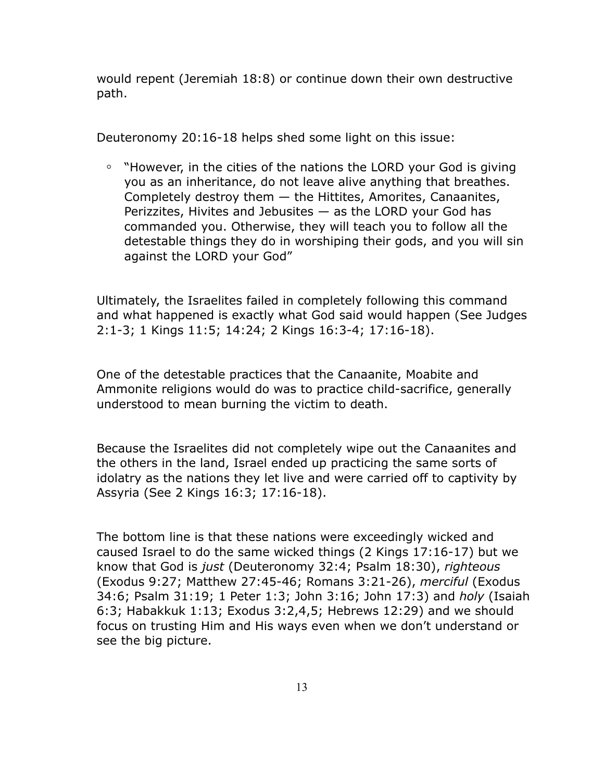would repent (Jeremiah 18:8) or continue down their own destructive path.

Deuteronomy 20:16-18 helps shed some light on this issue:

**◦** "However, in the cities of the nations the LORD your God is giving you as an inheritance, do not leave alive anything that breathes. Completely destroy them — the Hittites, Amorites, Canaanites, Perizzites, Hivites and Jebusites  $-$  as the LORD your God has commanded you. Otherwise, they will teach you to follow all the detestable things they do in worshiping their gods, and you will sin against the LORD your God"

Ultimately, the Israelites failed in completely following this command and what happened is exactly what God said would happen (See Judges 2:1-3; 1 Kings 11:5; 14:24; 2 Kings 16:3-4; 17:16-18).

One of the detestable practices that the Canaanite, Moabite and Ammonite religions would do was to practice child-sacrifice, generally understood to mean burning the victim to death.

Because the Israelites did not completely wipe out the Canaanites and the others in the land, Israel ended up practicing the same sorts of idolatry as the nations they let live and were carried off to captivity by Assyria (See 2 Kings 16:3; 17:16-18).

The bottom line is that these nations were exceedingly wicked and caused Israel to do the same wicked things (2 Kings 17:16-17) but we know that God is *just* (Deuteronomy 32:4; Psalm 18:30), *righteous* (Exodus 9:27; Matthew 27:45-46; Romans 3:21-26), *merciful* (Exodus 34:6; Psalm 31:19; 1 Peter 1:3; John 3:16; John 17:3) and *holy* (Isaiah 6:3; Habakkuk 1:13; Exodus 3:2,4,5; Hebrews 12:29) and we should focus on trusting Him and His ways even when we don't understand or see the big picture.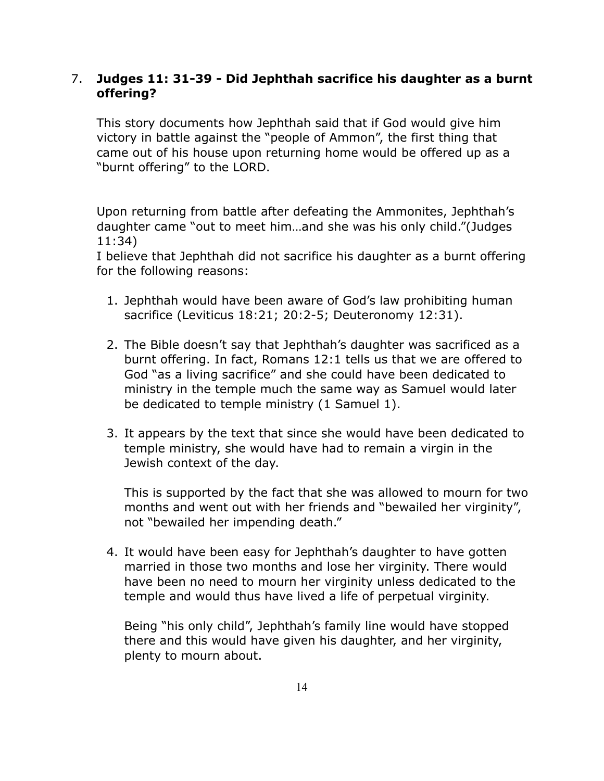# 7. **Judges 11: 31-39 - Did Jephthah sacrifice his daughter as a burnt offering?**

This story documents how Jephthah said that if God would give him victory in battle against the "people of Ammon", the first thing that came out of his house upon returning home would be offered up as a "burnt offering" to the LORD.

Upon returning from battle after defeating the Ammonites, Jephthah's daughter came "out to meet him…and she was his only child."(Judges 11:34)

I believe that Jephthah did not sacrifice his daughter as a burnt offering for the following reasons:

- 1. Jephthah would have been aware of God's law prohibiting human sacrifice (Leviticus 18:21; 20:2-5; Deuteronomy 12:31).
- 2. The Bible doesn't say that Jephthah's daughter was sacrificed as a burnt offering. In fact, Romans 12:1 tells us that we are offered to God "as a living sacrifice" and she could have been dedicated to ministry in the temple much the same way as Samuel would later be dedicated to temple ministry (1 Samuel 1).
- 3. It appears by the text that since she would have been dedicated to temple ministry, she would have had to remain a virgin in the Jewish context of the day.

This is supported by the fact that she was allowed to mourn for two months and went out with her friends and "bewailed her virginity", not "bewailed her impending death."

4. It would have been easy for Jephthah's daughter to have gotten married in those two months and lose her virginity. There would have been no need to mourn her virginity unless dedicated to the temple and would thus have lived a life of perpetual virginity.

Being "his only child", Jephthah's family line would have stopped there and this would have given his daughter, and her virginity, plenty to mourn about.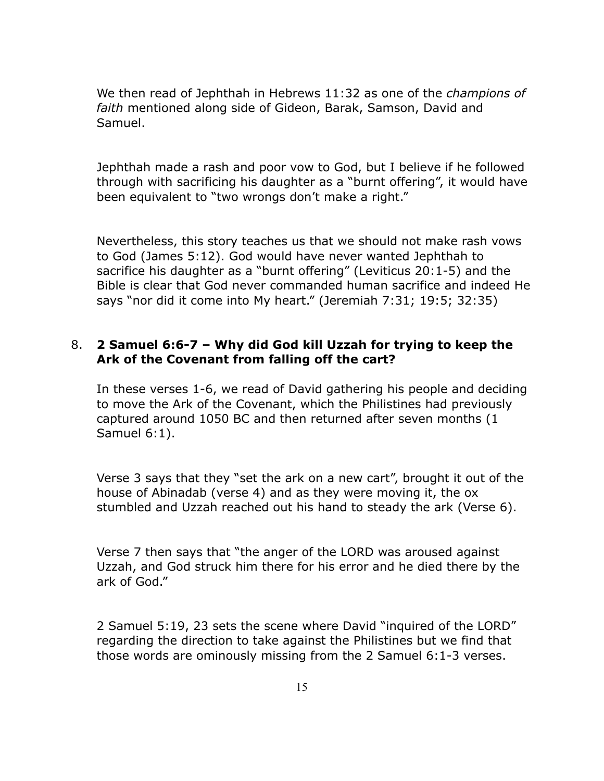We then read of Jephthah in Hebrews 11:32 as one of the *champions of faith* mentioned along side of Gideon, Barak, Samson, David and Samuel.

Jephthah made a rash and poor vow to God, but I believe if he followed through with sacrificing his daughter as a "burnt offering", it would have been equivalent to "two wrongs don't make a right."

Nevertheless, this story teaches us that we should not make rash vows to God (James 5:12). God would have never wanted Jephthah to sacrifice his daughter as a "burnt offering" (Leviticus 20:1-5) and the Bible is clear that God never commanded human sacrifice and indeed He says "nor did it come into My heart." (Jeremiah 7:31; 19:5; 32:35)

#### 8. **2 Samuel 6:6-7 – Why did God kill Uzzah for trying to keep the Ark of the Covenant from falling off the cart?**

In these verses 1-6, we read of David gathering his people and deciding to move the Ark of the Covenant, which the Philistines had previously captured around 1050 BC and then returned after seven months (1 Samuel 6:1).

Verse 3 says that they "set the ark on a new cart", brought it out of the house of Abinadab (verse 4) and as they were moving it, the ox stumbled and Uzzah reached out his hand to steady the ark (Verse 6).

Verse 7 then says that "the anger of the LORD was aroused against Uzzah, and God struck him there for his error and he died there by the ark of God."

2 Samuel 5:19, 23 sets the scene where David "inquired of the LORD" regarding the direction to take against the Philistines but we find that those words are ominously missing from the 2 Samuel 6:1-3 verses.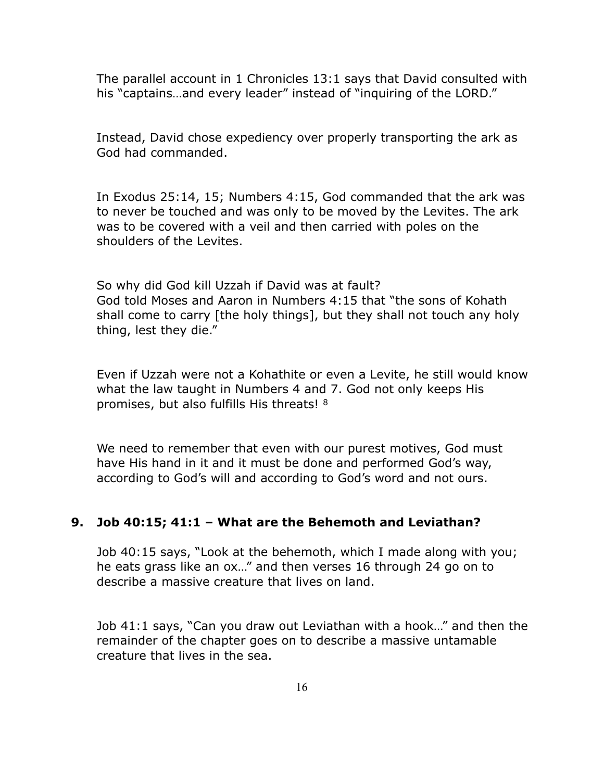The parallel account in 1 Chronicles 13:1 says that David consulted with his "captains...and every leader" instead of "inquiring of the LORD."

Instead, David chose expediency over properly transporting the ark as God had commanded.

In Exodus 25:14, 15; Numbers 4:15, God commanded that the ark was to never be touched and was only to be moved by the Levites. The ark was to be covered with a veil and then carried with poles on the shoulders of the Levites.

So why did God kill Uzzah if David was at fault? God told Moses and Aaron in Numbers 4:15 that "the sons of Kohath shall come to carry [the holy things], but they shall not touch any holy thing, lest they die."

Even if Uzzah were not a Kohathite or even a Levite, he still would know what the law taught in Numbers 4 and 7. God not only keeps His promises, but also fulfills His threats! 8

We need to remember that even with our purest motives, God must have His hand in it and it must be done and performed God's way, according to God's will and according to God's word and not ours.

#### **9. Job 40:15; 41:1 – What are the Behemoth and Leviathan?**

Job 40:15 says, "Look at the behemoth, which I made along with you; he eats grass like an ox…" and then verses 16 through 24 go on to describe a massive creature that lives on land.

Job 41:1 says, "Can you draw out Leviathan with a hook…" and then the remainder of the chapter goes on to describe a massive untamable creature that lives in the sea.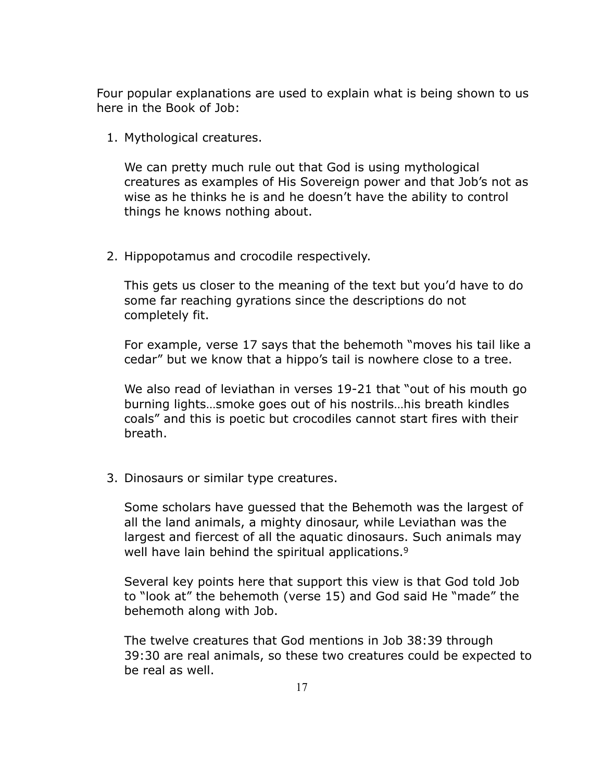Four popular explanations are used to explain what is being shown to us here in the Book of Job:

1. Mythological creatures.

We can pretty much rule out that God is using mythological creatures as examples of His Sovereign power and that Job's not as wise as he thinks he is and he doesn't have the ability to control things he knows nothing about.

2. Hippopotamus and crocodile respectively.

This gets us closer to the meaning of the text but you'd have to do some far reaching gyrations since the descriptions do not completely fit.

For example, verse 17 says that the behemoth "moves his tail like a cedar" but we know that a hippo's tail is nowhere close to a tree.

We also read of leviathan in verses 19-21 that "out of his mouth go burning lights…smoke goes out of his nostrils…his breath kindles coals" and this is poetic but crocodiles cannot start fires with their breath.

3. Dinosaurs or similar type creatures.

Some scholars have guessed that the Behemoth was the largest of all the land animals, a mighty dinosaur, while Leviathan was the largest and fiercest of all the aquatic dinosaurs. Such animals may well have lain behind the spiritual applications.<sup>9</sup>

Several key points here that support this view is that God told Job to "look at" the behemoth (verse 15) and God said He "made" the behemoth along with Job.

The twelve creatures that God mentions in Job 38:39 through 39:30 are real animals, so these two creatures could be expected to be real as well.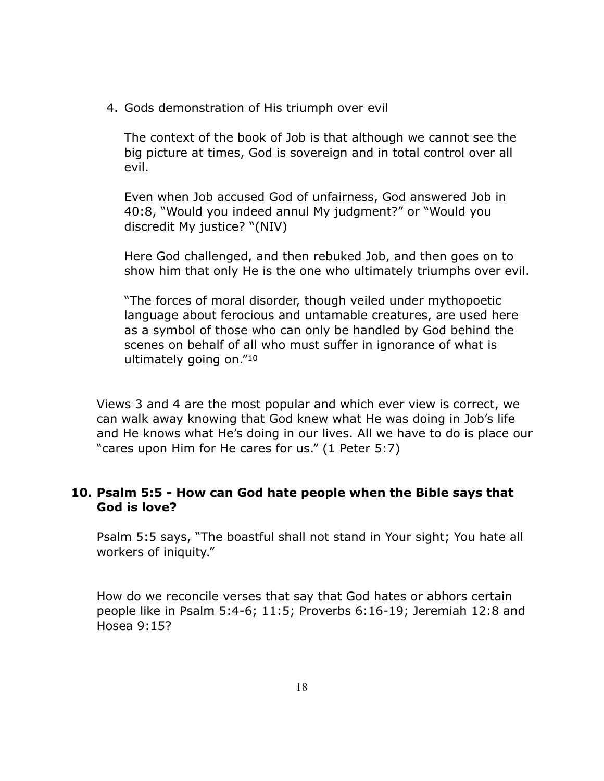4. Gods demonstration of His triumph over evil

The context of the book of Job is that although we cannot see the big picture at times, God is sovereign and in total control over all evil.

Even when Job accused God of unfairness, God answered Job in 40:8, "Would you indeed annul My judgment?" or "Would you discredit My justice? "(NIV)

Here God challenged, and then rebuked Job, and then goes on to show him that only He is the one who ultimately triumphs over evil.

"The forces of moral disorder, though veiled under mythopoetic language about ferocious and untamable creatures, are used here as a symbol of those who can only be handled by God behind the scenes on behalf of all who must suffer in ignorance of what is ultimately going on."10

Views 3 and 4 are the most popular and which ever view is correct, we can walk away knowing that God knew what He was doing in Job's life and He knows what He's doing in our lives. All we have to do is place our "cares upon Him for He cares for us." (1 Peter 5:7)

# **10. Psalm 5:5 - How can God hate people when the Bible says that God is love?**

Psalm 5:5 says, "The boastful shall not stand in Your sight; You hate all workers of iniquity."

How do we reconcile verses that say that God hates or abhors certain people like in Psalm 5:4-6; 11:5; Proverbs 6:16-19; Jeremiah 12:8 and Hosea 9:15?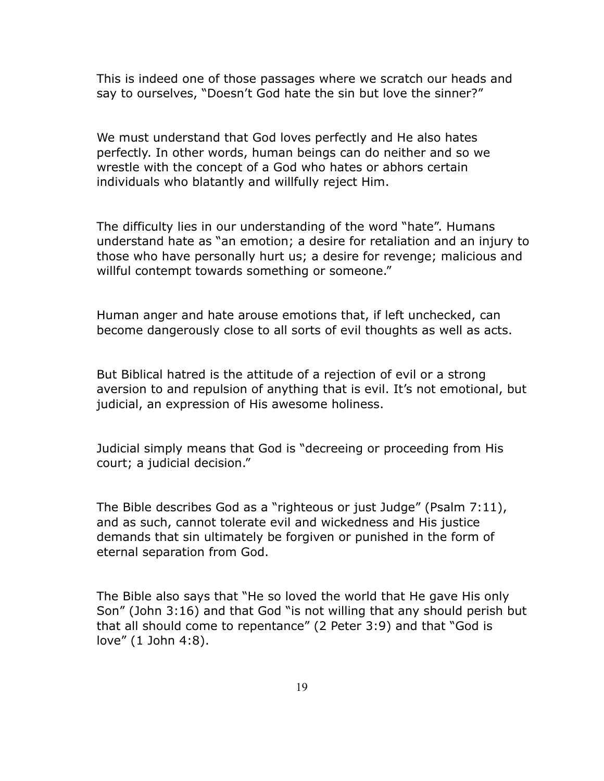This is indeed one of those passages where we scratch our heads and say to ourselves, "Doesn't God hate the sin but love the sinner?"

We must understand that God loves perfectly and He also hates perfectly. In other words, human beings can do neither and so we wrestle with the concept of a God who hates or abhors certain individuals who blatantly and willfully reject Him.

The difficulty lies in our understanding of the word "hate". Humans understand hate as "an emotion; a desire for retaliation and an injury to those who have personally hurt us; a desire for revenge; malicious and willful contempt towards something or someone."

Human anger and hate arouse emotions that, if left unchecked, can become dangerously close to all sorts of evil thoughts as well as acts.

But Biblical hatred is the attitude of a rejection of evil or a strong aversion to and repulsion of anything that is evil. It's not emotional, but judicial, an expression of His awesome holiness.

Judicial simply means that God is "decreeing or proceeding from His court; a judicial decision."

The Bible describes God as a "righteous or just Judge" (Psalm 7:11), and as such, cannot tolerate evil and wickedness and His justice demands that sin ultimately be forgiven or punished in the form of eternal separation from God.

The Bible also says that "He so loved the world that He gave His only Son" (John 3:16) and that God "is not willing that any should perish but that all should come to repentance" (2 Peter 3:9) and that "God is love" (1 John 4:8).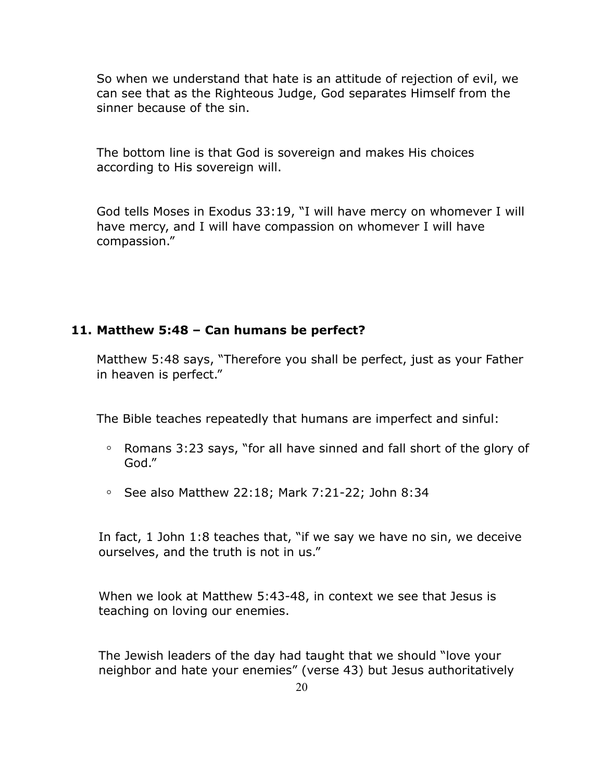So when we understand that hate is an attitude of rejection of evil, we can see that as the Righteous Judge, God separates Himself from the sinner because of the sin.

The bottom line is that God is sovereign and makes His choices according to His sovereign will.

God tells Moses in Exodus 33:19, "I will have mercy on whomever I will have mercy, and I will have compassion on whomever I will have compassion."

#### **11. Matthew 5:48 – Can humans be perfect?**

Matthew 5:48 says, "Therefore you shall be perfect, just as your Father in heaven is perfect."

The Bible teaches repeatedly that humans are imperfect and sinful:

- **◦** Romans 3:23 says, "for all have sinned and fall short of the glory of God."
- **◦** See also Matthew 22:18; Mark 7:21-22; John 8:34

In fact, 1 John 1:8 teaches that, "if we say we have no sin, we deceive ourselves, and the truth is not in us."

When we look at Matthew 5:43-48, in context we see that Jesus is teaching on loving our enemies.

The Jewish leaders of the day had taught that we should "love your neighbor and hate your enemies" (verse 43) but Jesus authoritatively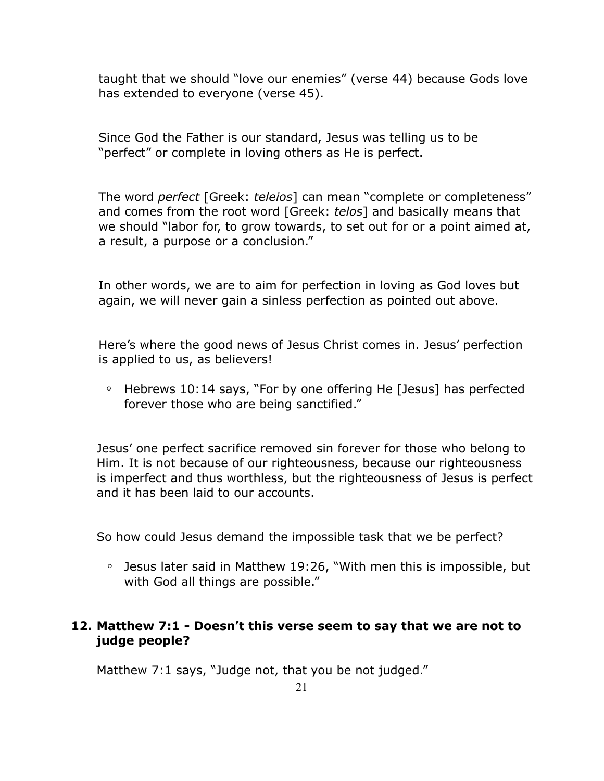taught that we should "love our enemies" (verse 44) because Gods love has extended to everyone (verse 45).

Since God the Father is our standard, Jesus was telling us to be "perfect" or complete in loving others as He is perfect.

The word *perfect* [Greek: *teleios*] can mean "complete or completeness" and comes from the root word [Greek: *telos*] and basically means that we should "labor for, to grow towards, to set out for or a point aimed at, a result, a purpose or a conclusion."

In other words, we are to aim for perfection in loving as God loves but again, we will never gain a sinless perfection as pointed out above.

Here's where the good news of Jesus Christ comes in. Jesus' perfection is applied to us, as believers!

**◦** Hebrews 10:14 says, "For by one offering He [Jesus] has perfected forever those who are being sanctified."

Jesus' one perfect sacrifice removed sin forever for those who belong to Him. It is not because of our righteousness, because our righteousness is imperfect and thus worthless, but the righteousness of Jesus is perfect and it has been laid to our accounts.

So how could Jesus demand the impossible task that we be perfect?

**◦** Jesus later said in Matthew 19:26, "With men this is impossible, but with God all things are possible."

# **12. Matthew 7:1 - Doesn't this verse seem to say that we are not to judge people?**

Matthew 7:1 says, "Judge not, that you be not judged."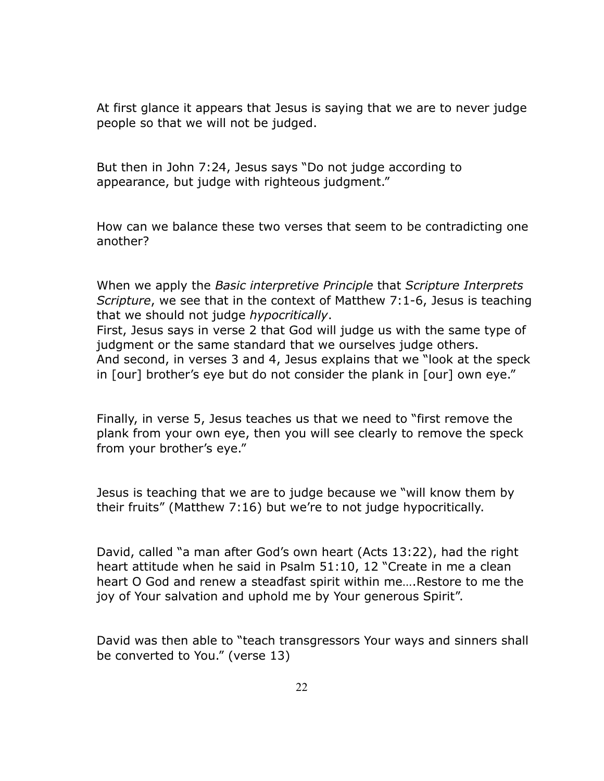At first glance it appears that Jesus is saying that we are to never judge people so that we will not be judged.

But then in John 7:24, Jesus says "Do not judge according to appearance, but judge with righteous judgment."

How can we balance these two verses that seem to be contradicting one another?

When we apply the *Basic interpretive Principle* that *Scripture Interprets Scripture*, we see that in the context of Matthew 7:1-6, Jesus is teaching that we should not judge *hypocritically*.

First, Jesus says in verse 2 that God will judge us with the same type of judgment or the same standard that we ourselves judge others. And second, in verses 3 and 4, Jesus explains that we "look at the speck in [our] brother's eye but do not consider the plank in [our] own eye."

Finally, in verse 5, Jesus teaches us that we need to "first remove the plank from your own eye, then you will see clearly to remove the speck from your brother's eye."

Jesus is teaching that we are to judge because we "will know them by their fruits" (Matthew 7:16) but we're to not judge hypocritically.

David, called "a man after God's own heart (Acts 13:22), had the right heart attitude when he said in Psalm 51:10, 12 "Create in me a clean heart O God and renew a steadfast spirit within me….Restore to me the joy of Your salvation and uphold me by Your generous Spirit".

David was then able to "teach transgressors Your ways and sinners shall be converted to You." (verse 13)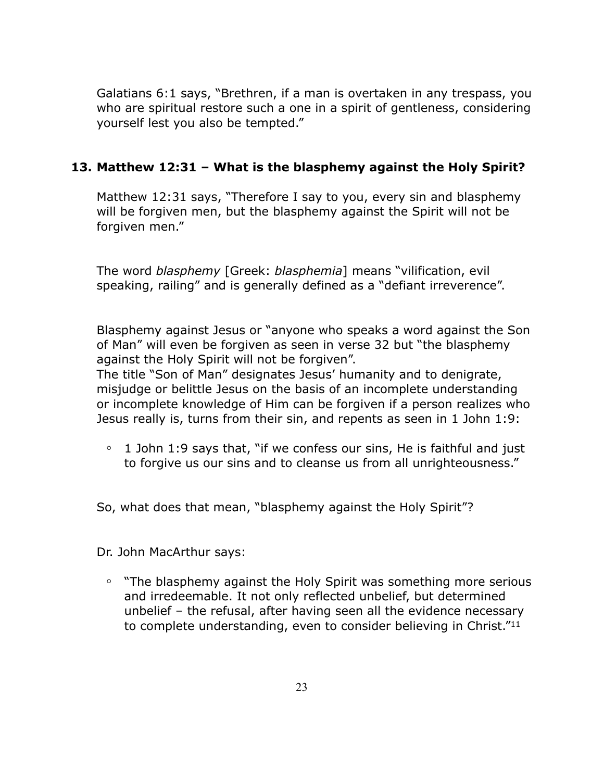Galatians 6:1 says, "Brethren, if a man is overtaken in any trespass, you who are spiritual restore such a one in a spirit of gentleness, considering yourself lest you also be tempted."

# **13. Matthew 12:31 – What is the blasphemy against the Holy Spirit?**

Matthew 12:31 says, "Therefore I say to you, every sin and blasphemy will be forgiven men, but the blasphemy against the Spirit will not be forgiven men."

The word *blasphemy* [Greek: *blasphemia*] means "vilification, evil speaking, railing" and is generally defined as a "defiant irreverence".

Blasphemy against Jesus or "anyone who speaks a word against the Son of Man" will even be forgiven as seen in verse 32 but "the blasphemy against the Holy Spirit will not be forgiven".

The title "Son of Man" designates Jesus' humanity and to denigrate, misjudge or belittle Jesus on the basis of an incomplete understanding or incomplete knowledge of Him can be forgiven if a person realizes who Jesus really is, turns from their sin, and repents as seen in 1 John 1:9:

**◦** 1 John 1:9 says that, "if we confess our sins, He is faithful and just to forgive us our sins and to cleanse us from all unrighteousness."

So, what does that mean, "blasphemy against the Holy Spirit"?

Dr. John MacArthur says:

**◦** "The blasphemy against the Holy Spirit was something more serious and irredeemable. It not only reflected unbelief, but determined unbelief – the refusal, after having seen all the evidence necessary to complete understanding, even to consider believing in Christ."11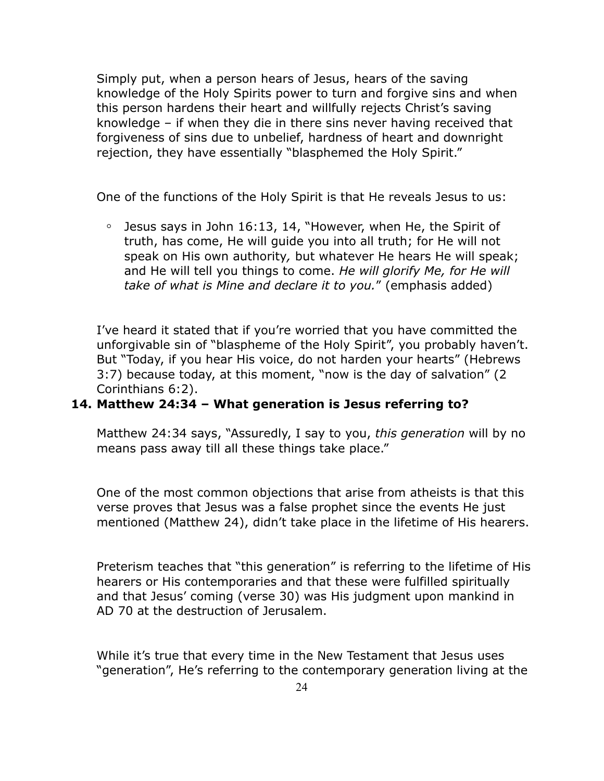Simply put, when a person hears of Jesus, hears of the saving knowledge of the Holy Spirits power to turn and forgive sins and when this person hardens their heart and willfully rejects Christ's saving knowledge – if when they die in there sins never having received that forgiveness of sins due to unbelief, hardness of heart and downright rejection, they have essentially "blasphemed the Holy Spirit."

One of the functions of the Holy Spirit is that He reveals Jesus to us:

**◦** Jesus says in John 16:13, 14, "However, when He, the Spirit of truth, has come, He will guide you into all truth; for He will not speak on His own authority*,* but whatever He hears He will speak; and He will tell you things to come. *He will glorify Me, for He will take of what is Mine and declare it to you.*" (emphasis added)

I've heard it stated that if you're worried that you have committed the unforgivable sin of "blaspheme of the Holy Spirit", you probably haven't. But "Today, if you hear His voice, do not harden your hearts" (Hebrews 3:7) because today, at this moment, "now is the day of salvation" (2 Corinthians 6:2).

#### **14. Matthew 24:34 – What generation is Jesus referring to?**

Matthew 24:34 says, "Assuredly, I say to you, *this generation* will by no means pass away till all these things take place."

One of the most common objections that arise from atheists is that this verse proves that Jesus was a false prophet since the events He just mentioned (Matthew 24), didn't take place in the lifetime of His hearers.

Preterism teaches that "this generation" is referring to the lifetime of His hearers or His contemporaries and that these were fulfilled spiritually and that Jesus' coming (verse 30) was His judgment upon mankind in AD 70 at the destruction of Jerusalem.

While it's true that every time in the New Testament that Jesus uses "generation", He's referring to the contemporary generation living at the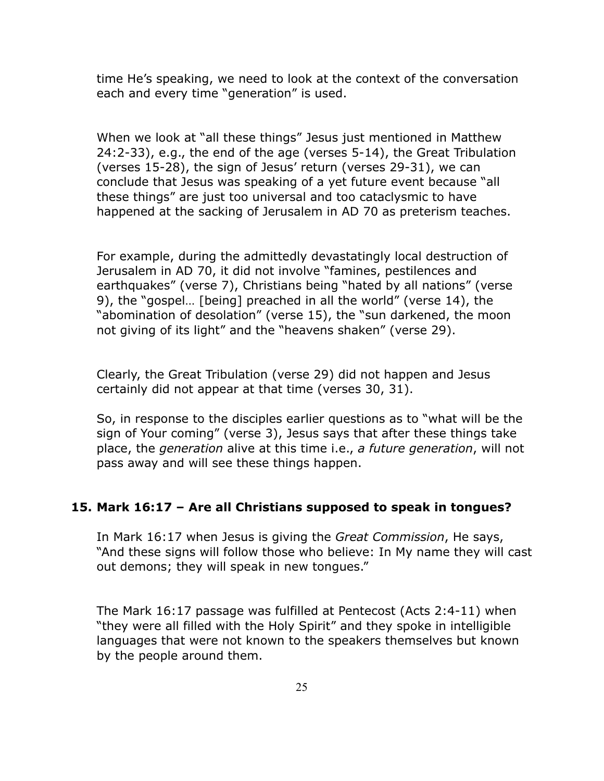time He's speaking, we need to look at the context of the conversation each and every time "generation" is used.

When we look at "all these things" Jesus just mentioned in Matthew 24:2-33), e.g., the end of the age (verses 5-14), the Great Tribulation (verses 15-28), the sign of Jesus' return (verses 29-31), we can conclude that Jesus was speaking of a yet future event because "all these things" are just too universal and too cataclysmic to have happened at the sacking of Jerusalem in AD 70 as preterism teaches.

For example, during the admittedly devastatingly local destruction of Jerusalem in AD 70, it did not involve "famines, pestilences and earthquakes" (verse 7), Christians being "hated by all nations" (verse 9), the "gospel… [being] preached in all the world" (verse 14), the "abomination of desolation" (verse 15), the "sun darkened, the moon not giving of its light" and the "heavens shaken" (verse 29).

Clearly, the Great Tribulation (verse 29) did not happen and Jesus certainly did not appear at that time (verses 30, 31).

So, in response to the disciples earlier questions as to "what will be the sign of Your coming" (verse 3), Jesus says that after these things take place, the *generation* alive at this time i.e., *a future generation*, will not pass away and will see these things happen.

#### **15. Mark 16:17 – Are all Christians supposed to speak in tongues?**

In Mark 16:17 when Jesus is giving the *Great Commission*, He says, "And these signs will follow those who believe: In My name they will cast out demons; they will speak in new tongues."

The Mark 16:17 passage was fulfilled at Pentecost (Acts 2:4-11) when "they were all filled with the Holy Spirit" and they spoke in intelligible languages that were not known to the speakers themselves but known by the people around them.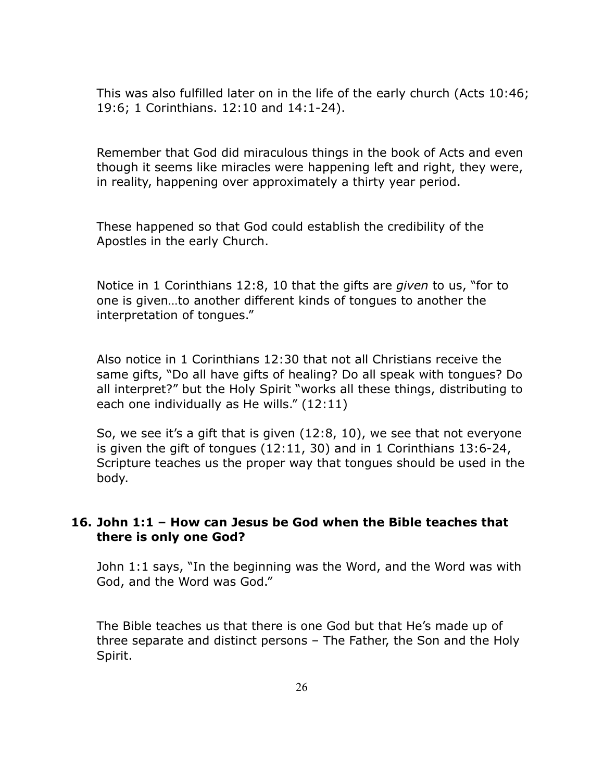This was also fulfilled later on in the life of the early church (Acts 10:46; 19:6; 1 Corinthians. 12:10 and 14:1-24).

Remember that God did miraculous things in the book of Acts and even though it seems like miracles were happening left and right, they were, in reality, happening over approximately a thirty year period.

These happened so that God could establish the credibility of the Apostles in the early Church.

Notice in 1 Corinthians 12:8, 10 that the gifts are *given* to us, "for to one is given…to another different kinds of tongues to another the interpretation of tongues."

Also notice in 1 Corinthians 12:30 that not all Christians receive the same gifts, "Do all have gifts of healing? Do all speak with tongues? Do all interpret?" but the Holy Spirit "works all these things, distributing to each one individually as He wills." (12:11)

So, we see it's a gift that is given (12:8, 10), we see that not everyone is given the gift of tongues (12:11, 30) and in 1 Corinthians 13:6-24, Scripture teaches us the proper way that tongues should be used in the body.

# **16. John 1:1 – How can Jesus be God when the Bible teaches that there is only one God?**

John 1:1 says, "In the beginning was the Word, and the Word was with God, and the Word was God."

The Bible teaches us that there is one God but that He's made up of three separate and distinct persons – The Father, the Son and the Holy Spirit.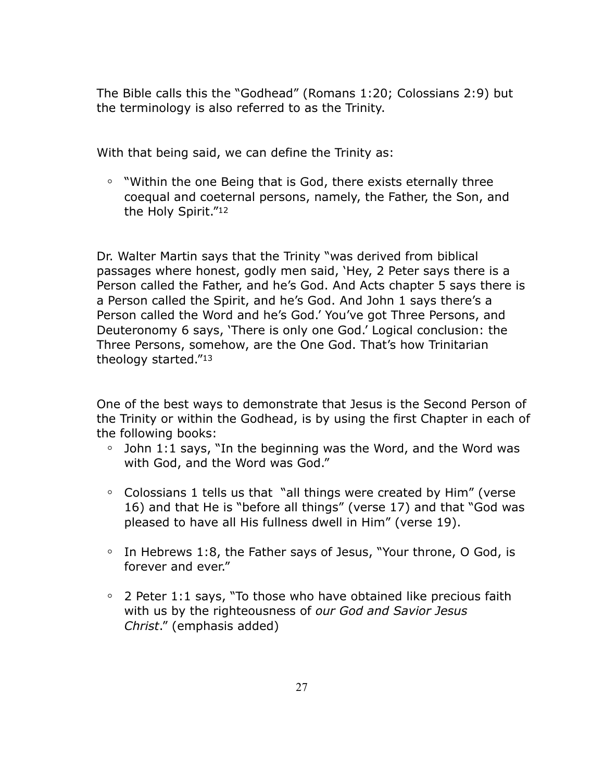The Bible calls this the "Godhead" (Romans 1:20; Colossians 2:9) but the terminology is also referred to as the Trinity.

With that being said, we can define the Trinity as:

**◦** "Within the one Being that is God, there exists eternally three coequal and coeternal persons, namely, the Father, the Son, and the Holy Spirit."12

Dr. Walter Martin says that the Trinity "was derived from biblical passages where honest, godly men said, 'Hey, 2 Peter says there is a Person called the Father, and he's God. And Acts chapter 5 says there is a Person called the Spirit, and he's God. And John 1 says there's a Person called the Word and he's God.' You've got Three Persons, and Deuteronomy 6 says, 'There is only one God.' Logical conclusion: the Three Persons, somehow, are the One God. That's how Trinitarian theology started."13

One of the best ways to demonstrate that Jesus is the Second Person of the Trinity or within the Godhead, is by using the first Chapter in each of the following books:

- **◦** John 1:1 says, "In the beginning was the Word, and the Word was with God, and the Word was God."
- **◦** Colossians 1 tells us that "all things were created by Him" (verse 16) and that He is "before all things" (verse 17) and that "God was pleased to have all His fullness dwell in Him" (verse 19).
- **◦** In Hebrews 1:8, the Father says of Jesus, "Your throne, O God, is forever and ever."
- **◦** 2 Peter 1:1 says, "To those who have obtained like precious faith with us by the righteousness of *our God and Savior Jesus Christ*." (emphasis added)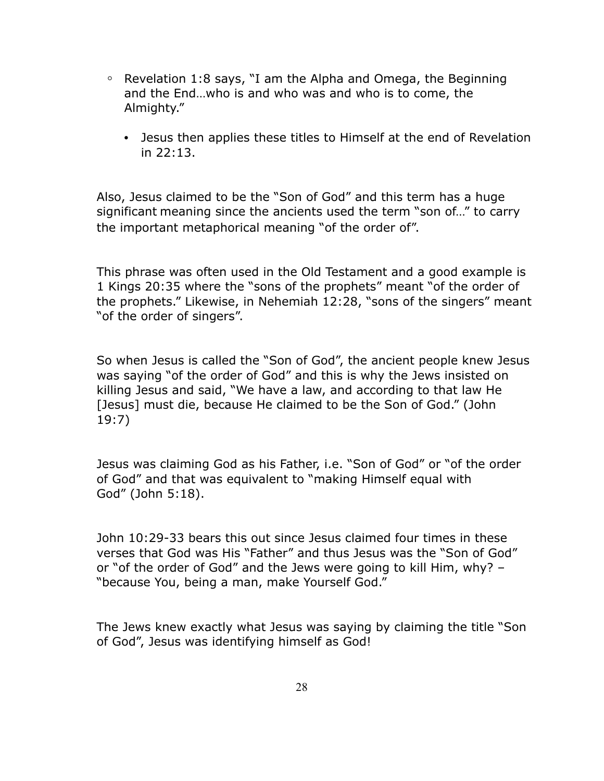- **◦** Revelation 1:8 says, "I am the Alpha and Omega, the Beginning and the End…who is and who was and who is to come, the Almighty."
	- Jesus then applies these titles to Himself at the end of Revelation in 22:13.

Also, Jesus claimed to be the "Son of God" and this term has a huge significant meaning since the ancients used the term "son of…" to carry the important metaphorical meaning "of the order of".

This phrase was often used in the Old Testament and a good example is 1 Kings 20:35 where the "sons of the prophets" meant "of the order of the prophets." Likewise, in Nehemiah 12:28, "sons of the singers" meant "of the order of singers".

So when Jesus is called the "Son of God", the ancient people knew Jesus was saying "of the order of God" and this is why the Jews insisted on killing Jesus and said, "We have a law, and according to that law He [Jesus] must die, because He claimed to be the Son of God." (John 19:7)

Jesus was claiming God as his Father, i.e. "Son of God" or "of the order of God" and that was equivalent to "making Himself equal with God" (John 5:18).

John 10:29-33 bears this out since Jesus claimed four times in these verses that God was His "Father" and thus Jesus was the "Son of God" or "of the order of God" and the Jews were going to kill Him, why? – "because You, being a man, make Yourself God."

The Jews knew exactly what Jesus was saying by claiming the title "Son of God", Jesus was identifying himself as God!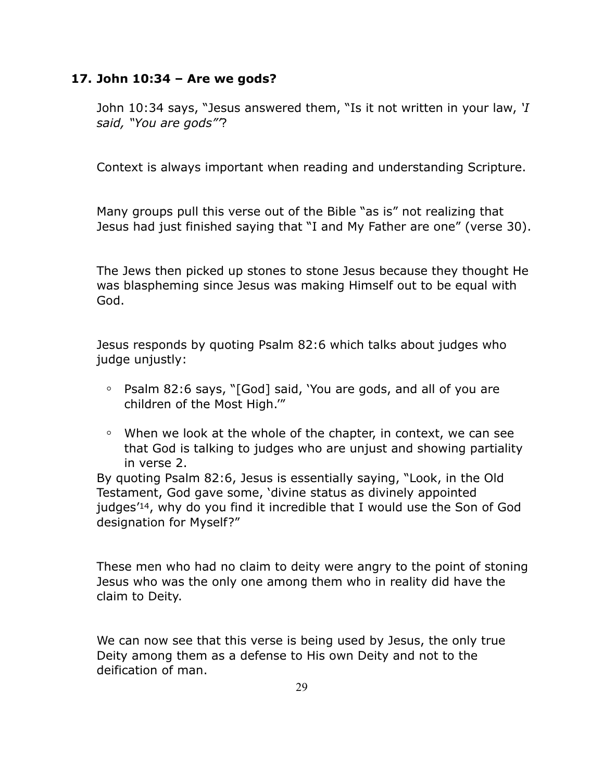## **17. John 10:34 – Are we gods?**

John 10:34 says, "Jesus answered them, "Is it not written in your law, *'I said, "You are gods"'*?

Context is always important when reading and understanding Scripture.

Many groups pull this verse out of the Bible "as is" not realizing that Jesus had just finished saying that "I and My Father are one" (verse 30).

The Jews then picked up stones to stone Jesus because they thought He was blaspheming since Jesus was making Himself out to be equal with God.

Jesus responds by quoting Psalm 82:6 which talks about judges who judge unjustly:

- **◦** Psalm 82:6 says, "[God] said, 'You are gods, and all of you are children of the Most High.'"
- **◦** When we look at the whole of the chapter, in context, we can see that God is talking to judges who are unjust and showing partiality in verse 2.

By quoting Psalm 82:6, Jesus is essentially saying, "Look, in the Old Testament, God gave some, 'divine status as divinely appointed judges'14, why do you find it incredible that I would use the Son of God designation for Myself?"

These men who had no claim to deity were angry to the point of stoning Jesus who was the only one among them who in reality did have the claim to Deity.

We can now see that this verse is being used by Jesus, the only true Deity among them as a defense to His own Deity and not to the deification of man.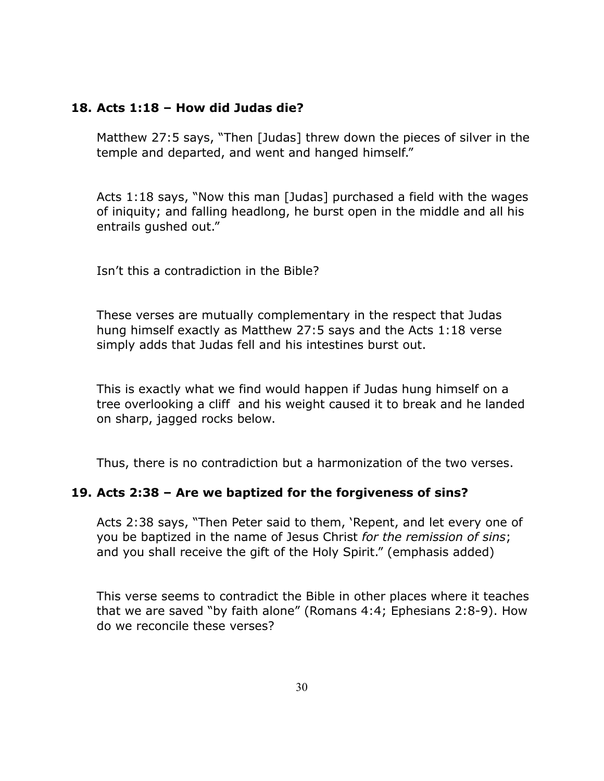#### **18. Acts 1:18 – How did Judas die?**

Matthew 27:5 says, "Then [Judas] threw down the pieces of silver in the temple and departed, and went and hanged himself."

Acts 1:18 says, "Now this man [Judas] purchased a field with the wages of iniquity; and falling headlong, he burst open in the middle and all his entrails gushed out."

Isn't this a contradiction in the Bible?

These verses are mutually complementary in the respect that Judas hung himself exactly as Matthew 27:5 says and the Acts 1:18 verse simply adds that Judas fell and his intestines burst out.

This is exactly what we find would happen if Judas hung himself on a tree overlooking a cliff and his weight caused it to break and he landed on sharp, jagged rocks below.

Thus, there is no contradiction but a harmonization of the two verses.

#### **19. Acts 2:38 – Are we baptized for the forgiveness of sins?**

Acts 2:38 says, "Then Peter said to them, 'Repent, and let every one of you be baptized in the name of Jesus Christ *for the remission of sins*; and you shall receive the gift of the Holy Spirit." (emphasis added)

This verse seems to contradict the Bible in other places where it teaches that we are saved "by faith alone" (Romans 4:4; Ephesians 2:8-9). How do we reconcile these verses?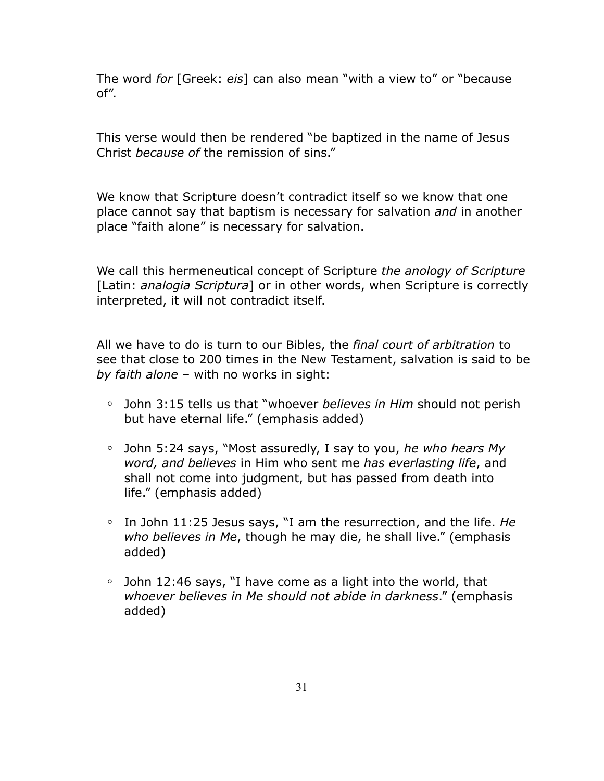The word *for* [Greek: *eis*] can also mean "with a view to" or "because of".

This verse would then be rendered "be baptized in the name of Jesus Christ *because of* the remission of sins."

We know that Scripture doesn't contradict itself so we know that one place cannot say that baptism is necessary for salvation *and* in another place "faith alone" is necessary for salvation.

We call this hermeneutical concept of Scripture *the anology of Scripture*  [Latin: *analogia Scriptura*] or in other words, when Scripture is correctly interpreted, it will not contradict itself.

All we have to do is turn to our Bibles, the *final court of arbitration* to see that close to 200 times in the New Testament, salvation is said to be *by faith alone –* with no works in sight:

- **◦** John 3:15 tells us that "whoever *believes in Him* should not perish but have eternal life." (emphasis added)
- **◦** John 5:24 says, "Most assuredly, I say to you, *he who hears My word, and believes* in Him who sent me *has everlasting life*, and shall not come into judgment, but has passed from death into life." (emphasis added)
- **◦** In John 11:25 Jesus says, "I am the resurrection, and the life. *He who believes in Me*, though he may die, he shall live." (emphasis added)
- **◦** John 12:46 says, "I have come as a light into the world, that *whoever believes in Me should not abide in darkness*." (emphasis added)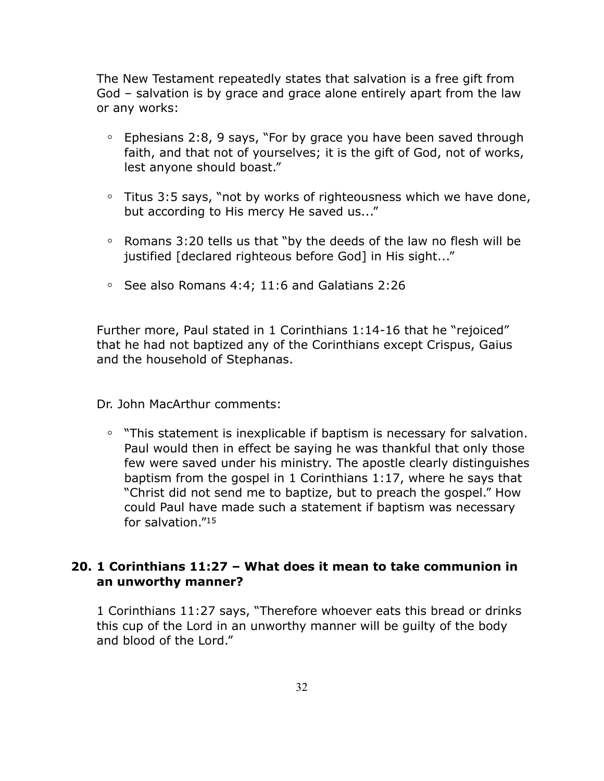The New Testament repeatedly states that salvation is a free gift from God – salvation is by grace and grace alone entirely apart from the law or any works:

- **◦** Ephesians 2:8, 9 says, "For by grace you have been saved through faith, and that not of yourselves; it is the gift of God, not of works, lest anyone should boast."
- **◦** Titus 3:5 says, "not by works of righteousness which we have done, but according to His mercy He saved us..."
- **◦** Romans 3:20 tells us that "by the deeds of the law no flesh will be justified [declared righteous before God] in His sight..."
- **◦** See also Romans 4:4; 11:6 and Galatians 2:26

Further more, Paul stated in 1 Corinthians 1:14-16 that he "rejoiced" that he had not baptized any of the Corinthians except Crispus, Gaius and the household of Stephanas.

Dr. John MacArthur comments:

**◦** "This statement is inexplicable if baptism is necessary for salvation. Paul would then in effect be saying he was thankful that only those few were saved under his ministry. The apostle clearly distinguishes baptism from the gospel in 1 Corinthians 1:17, where he says that "Christ did not send me to baptize, but to preach the gospel." How could Paul have made such a statement if baptism was necessary for salvation."15

# **20. 1 Corinthians 11:27 – What does it mean to take communion in an unworthy manner?**

1 Corinthians 11:27 says, "Therefore whoever eats this bread or drinks this cup of the Lord in an unworthy manner will be guilty of the body and blood of the Lord."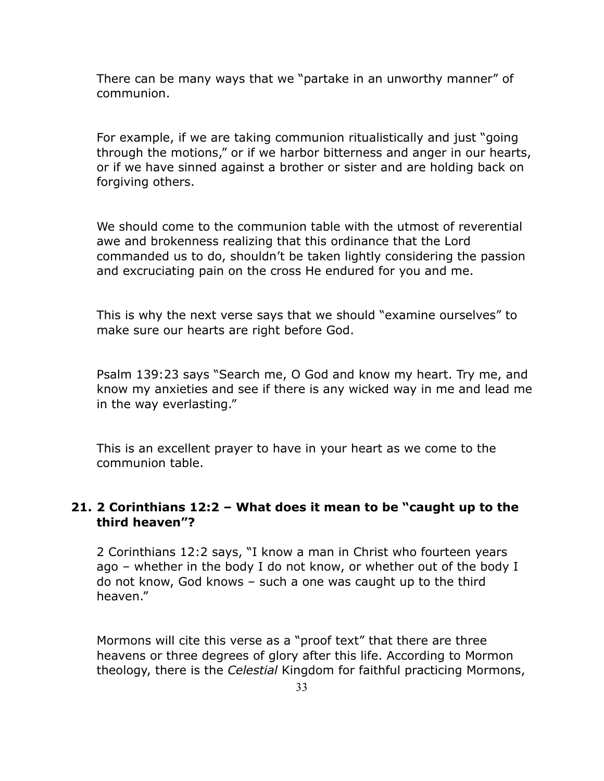There can be many ways that we "partake in an unworthy manner" of communion.

For example, if we are taking communion ritualistically and just "going through the motions," or if we harbor bitterness and anger in our hearts, or if we have sinned against a brother or sister and are holding back on forgiving others.

We should come to the communion table with the utmost of reverential awe and brokenness realizing that this ordinance that the Lord commanded us to do, shouldn't be taken lightly considering the passion and excruciating pain on the cross He endured for you and me.

This is why the next verse says that we should "examine ourselves" to make sure our hearts are right before God.

Psalm 139:23 says "Search me, O God and know my heart. Try me, and know my anxieties and see if there is any wicked way in me and lead me in the way everlasting."

This is an excellent prayer to have in your heart as we come to the communion table.

#### **21. 2 Corinthians 12:2 – What does it mean to be "caught up to the third heaven"?**

2 Corinthians 12:2 says, "I know a man in Christ who fourteen years ago – whether in the body I do not know, or whether out of the body I do not know, God knows – such a one was caught up to the third heaven."

Mormons will cite this verse as a "proof text" that there are three heavens or three degrees of glory after this life. According to Mormon theology, there is the *Celestial* Kingdom for faithful practicing Mormons,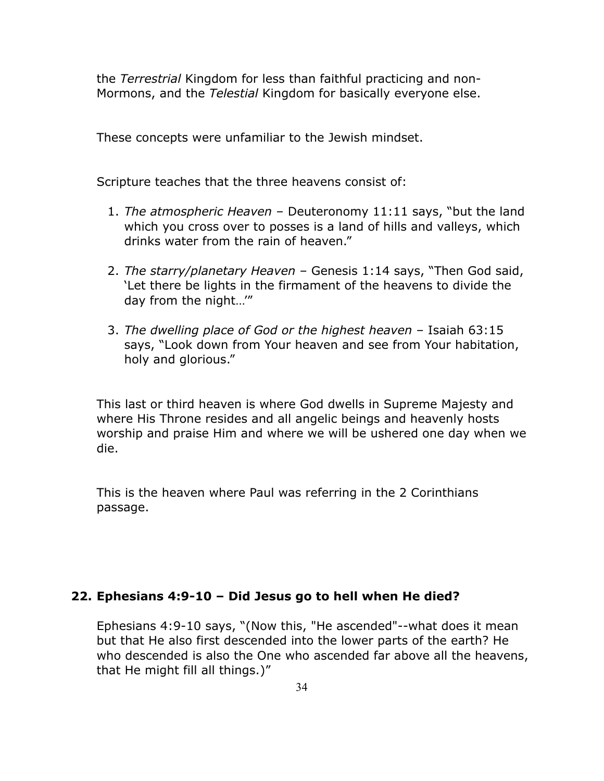the *Terrestrial* Kingdom for less than faithful practicing and non-Mormons, and the *Telestial* Kingdom for basically everyone else.

These concepts were unfamiliar to the Jewish mindset.

Scripture teaches that the three heavens consist of:

- 1. *The atmospheric Heaven* Deuteronomy 11:11 says, "but the land which you cross over to posses is a land of hills and valleys, which drinks water from the rain of heaven."
- 2. *The starry/planetary Heaven* Genesis 1:14 says, "Then God said, 'Let there be lights in the firmament of the heavens to divide the day from the night…'"
- 3. *The dwelling place of God or the highest heaven* Isaiah 63:15 says, "Look down from Your heaven and see from Your habitation, holy and glorious."

This last or third heaven is where God dwells in Supreme Majesty and where His Throne resides and all angelic beings and heavenly hosts worship and praise Him and where we will be ushered one day when we die.

This is the heaven where Paul was referring in the 2 Corinthians passage.

#### **22. Ephesians 4:9-10 – Did Jesus go to hell when He died?**

Ephesians 4:9-10 says, "(Now this, "He ascended"--what does it mean but that He also first descended into the lower parts of the earth? He who descended is also the One who ascended far above all the heavens, that He might fill all things.)"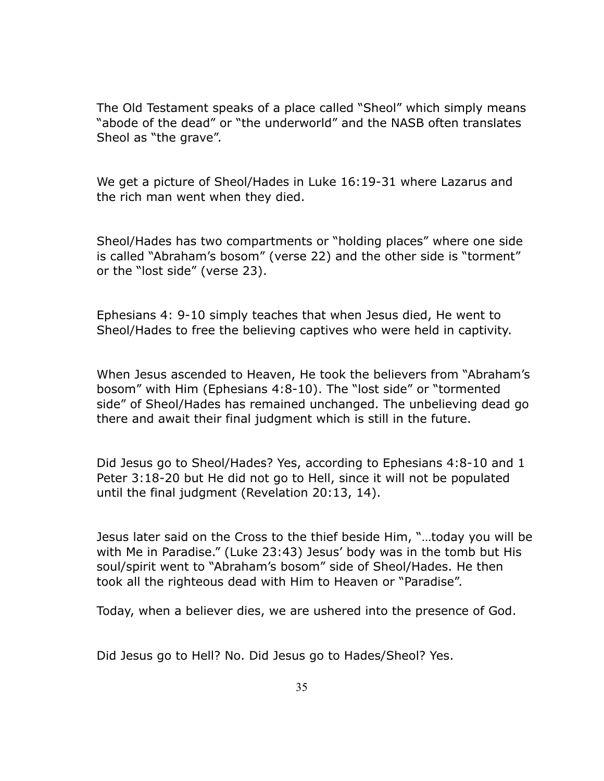The Old Testament speaks of a place called "Sheol" which simply means "abode of the dead" or "the underworld" and the NASB often translates Sheol as "the grave".

We get a picture of Sheol/Hades in Luke 16:19-31 where Lazarus and the rich man went when they died.

Sheol/Hades has two compartments or "holding places" where one side is called "Abraham's bosom" (verse 22) and the other side is "torment" or the "lost side" (verse 23).

Ephesians 4: 9-10 simply teaches that when Jesus died, He went to Sheol/Hades to free the believing captives who were held in captivity.

When Jesus ascended to Heaven, He took the believers from "Abraham's bosom" with Him (Ephesians 4:8-10). The "lost side" or "tormented side" of Sheol/Hades has remained unchanged. The unbelieving dead go there and await their final judgment which is still in the future.

Did Jesus go to Sheol/Hades? Yes, according to Ephesians 4:8-10 and 1 Peter 3:18-20 but He did not go to Hell, since it will not be populated until the final judgment (Revelation 20:13, 14).

Jesus later said on the Cross to the thief beside Him, "…today you will be with Me in Paradise." (Luke 23:43) Jesus' body was in the tomb but His soul/spirit went to "Abraham's bosom" side of Sheol/Hades. He then took all the righteous dead with Him to Heaven or "Paradise".

Today, when a believer dies, we are ushered into the presence of God.

Did Jesus go to Hell? No. Did Jesus go to Hades/Sheol? Yes.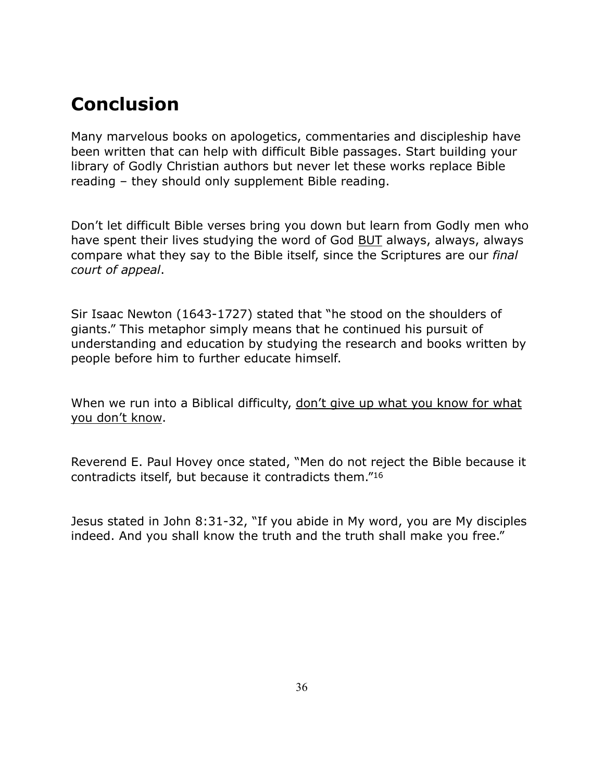# **Conclusion**

Many marvelous books on apologetics, commentaries and discipleship have been written that can help with difficult Bible passages. Start building your library of Godly Christian authors but never let these works replace Bible reading – they should only supplement Bible reading.

Don't let difficult Bible verses bring you down but learn from Godly men who have spent their lives studying the word of God BUT always, always, always compare what they say to the Bible itself, since the Scriptures are our *final court of appeal*.

Sir Isaac Newton (1643-1727) stated that "he stood on the shoulders of giants." This metaphor simply means that he continued his pursuit of understanding and education by studying the research and books written by people before him to further educate himself.

When we run into a Biblical difficulty, don't give up what you know for what you don't know.

Reverend E. Paul Hovey once stated, "Men do not reject the Bible because it contradicts itself, but because it contradicts them."16

Jesus stated in John 8:31-32, "If you abide in My word, you are My disciples indeed. And you shall know the truth and the truth shall make you free."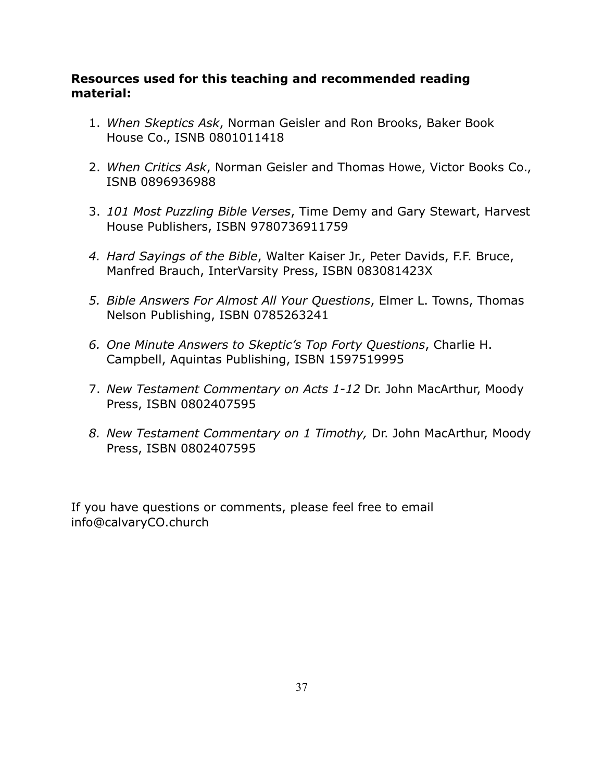# **Resources used for this teaching and recommended reading material:**

- 1. *When Skeptics Ask*, Norman Geisler and Ron Brooks, Baker Book House Co., ISNB 0801011418
- 2. *When Critics Ask*, Norman Geisler and Thomas Howe, Victor Books Co., ISNB 0896936988
- 3. *101 Most Puzzling Bible Verses*, Time Demy and Gary Stewart, Harvest House Publishers, ISBN 9780736911759
- *4. Hard Sayings of the Bible*, Walter Kaiser Jr., Peter Davids, F.F. Bruce, Manfred Brauch, InterVarsity Press, ISBN 083081423X
- *5. Bible Answers For Almost All Your Questions*, Elmer L. Towns, Thomas Nelson Publishing, ISBN 0785263241
- *6. One Minute Answers to Skeptic's Top Forty Questions*, Charlie H. Campbell, Aquintas Publishing, ISBN 1597519995
- 7. *New Testament Commentary on Acts 1-12* Dr. John MacArthur, Moody Press, ISBN 0802407595
- *8. New Testament Commentary on 1 Timothy,* Dr. John MacArthur, Moody Press, ISBN 0802407595

If you have questions or comments, please feel free to email info@calvaryCO.church